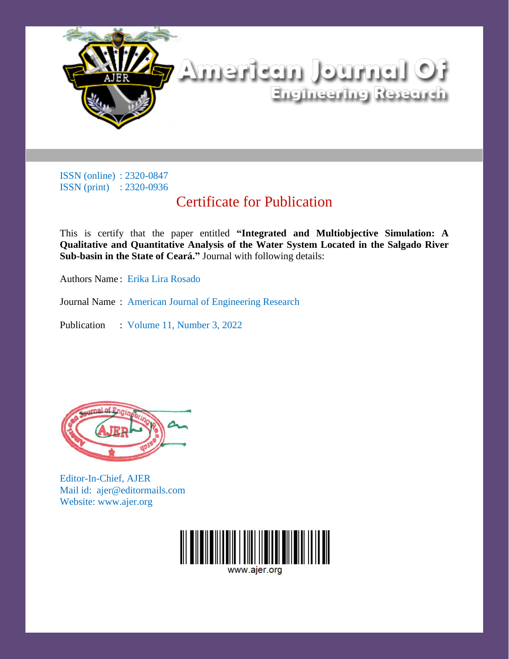

# Certificate for Publication

This is certify that the paper entitled **"Integrated and Multiobjective Simulation: A Qualitative and Quantitative Analysis of the Water System Located in the Salgado River Sub-basin in the State of Ceará."** Journal with following details:

Authors Name : Erika Lira Rosado

Journal Name : American Journal of Engineering Research

Publication : Volume 11, Number 3, 2022



Editor-In-Chief, AJER Mail id: ajer@editormails.com Website: www.ajer.org

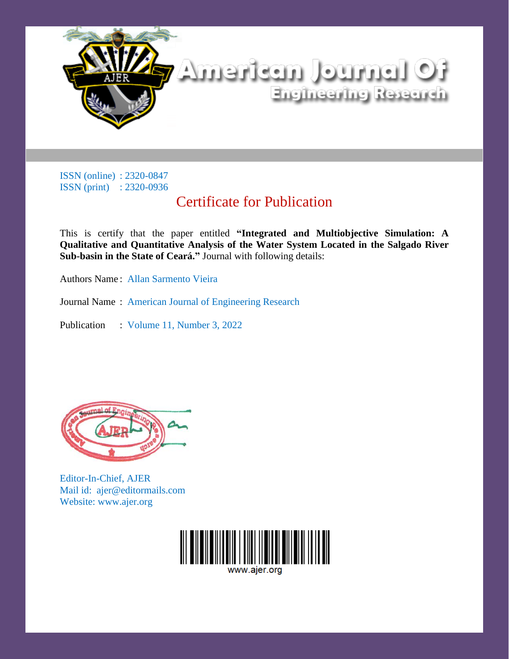

# Certificate for Publication

This is certify that the paper entitled **"Integrated and Multiobjective Simulation: A Qualitative and Quantitative Analysis of the Water System Located in the Salgado River Sub-basin in the State of Ceará."** Journal with following details:

Authors Name : Allan Sarmento Vieira

Journal Name : American Journal of Engineering Research

Publication : Volume 11, Number 3, 2022



Editor-In-Chief, AJER Mail id: ajer@editormails.com Website: www.ajer.org

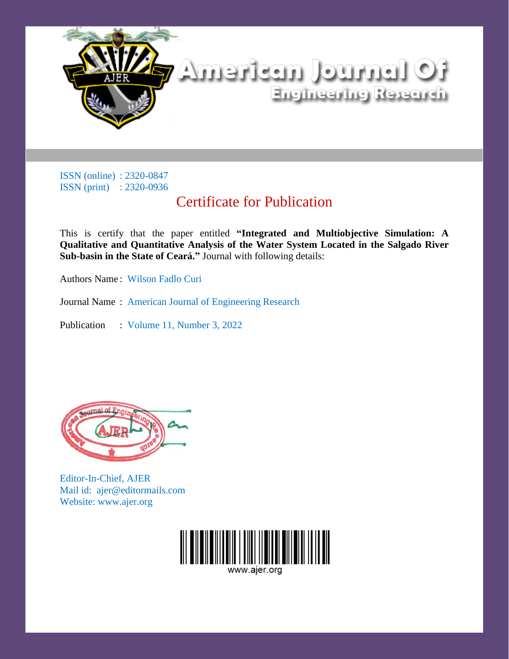

# Certificate for Publication

This is certify that the paper entitled **"Integrated and Multiobjective Simulation: A Qualitative and Quantitative Analysis of the Water System Located in the Salgado River Sub-basin in the State of Ceará."** Journal with following details:

Authors Name : Wilson Fadlo Curi

Journal Name : American Journal of Engineering Research

Publication : Volume 11, Number 3, 2022



Editor-In-Chief, AJER Mail id: ajer@editormails.com Website: www.ajer.org

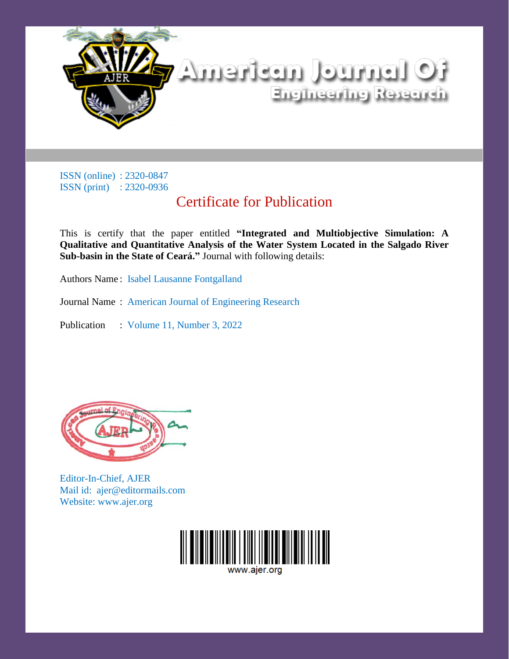

# Certificate for Publication

This is certify that the paper entitled **"Integrated and Multiobjective Simulation: A Qualitative and Quantitative Analysis of the Water System Located in the Salgado River Sub-basin in the State of Ceará."** Journal with following details:

Authors Name : Isabel Lausanne Fontgalland

Journal Name : American Journal of Engineering Research

Publication : Volume 11, Number 3, 2022



Editor-In-Chief, AJER Mail id: ajer@editormails.com Website: www.ajer.org

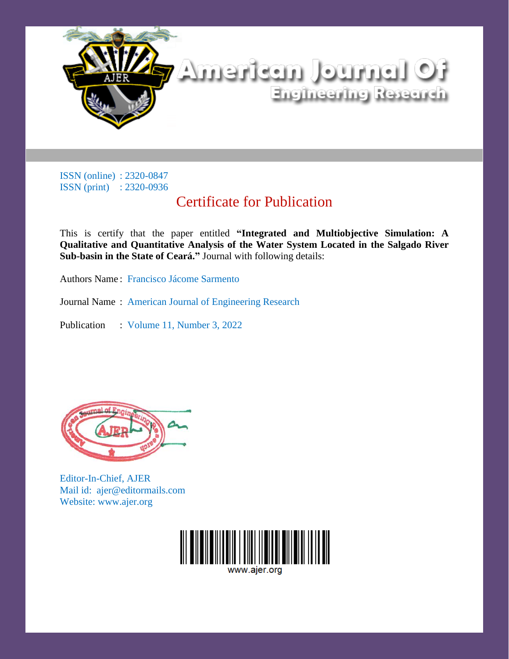

# Certificate for Publication

This is certify that the paper entitled **"Integrated and Multiobjective Simulation: A Qualitative and Quantitative Analysis of the Water System Located in the Salgado River Sub-basin in the State of Ceará."** Journal with following details:

Authors Name : Francisco Jácome Sarmento

Journal Name : American Journal of Engineering Research

Publication : Volume 11, Number 3, 2022



Editor-In-Chief, AJER Mail id: ajer@editormails.com Website: www.ajer.org